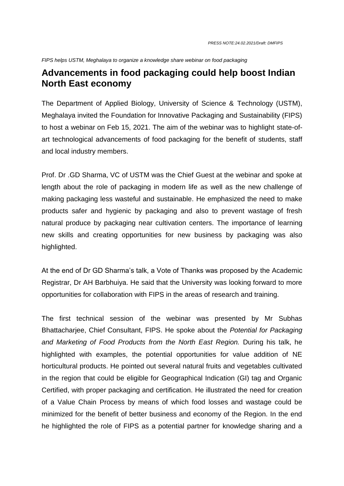*FIPS helps USTM, Meghalaya to organize a knowledge share webinar on food packaging*

## **Advancements in food packaging could help boost Indian North East economy**

The Department of Applied Biology, University of Science & Technology (USTM), Meghalaya invited the Foundation for Innovative Packaging and Sustainability (FIPS) to host a webinar on Feb 15, 2021. The aim of the webinar was to highlight state-ofart technological advancements of food packaging for the benefit of students, staff and local industry members.

Prof. Dr .GD Sharma, VC of USTM was the Chief Guest at the webinar and spoke at length about the role of packaging in modern life as well as the new challenge of making packaging less wasteful and sustainable. He emphasized the need to make products safer and hygienic by packaging and also to prevent wastage of fresh natural produce by packaging near cultivation centers. The importance of learning new skills and creating opportunities for new business by packaging was also highlighted.

At the end of Dr GD Sharma's talk, a Vote of Thanks was proposed by the Academic Registrar, Dr AH Barbhuiya. He said that the University was looking forward to more opportunities for collaboration with FIPS in the areas of research and training.

The first technical session of the webinar was presented by Mr Subhas Bhattacharjee, Chief Consultant, FIPS. He spoke about the *Potential for Packaging and Marketing of Food Products from the North East Region.* During his talk, he highlighted with examples, the potential opportunities for value addition of NE horticultural products. He pointed out several natural fruits and vegetables cultivated in the region that could be eligible for Geographical Indication (GI) tag and Organic Certified, with proper packaging and certification. He illustrated the need for creation of a Value Chain Process by means of which food losses and wastage could be minimized for the benefit of better business and economy of the Region. In the end he highlighted the role of FIPS as a potential partner for knowledge sharing and a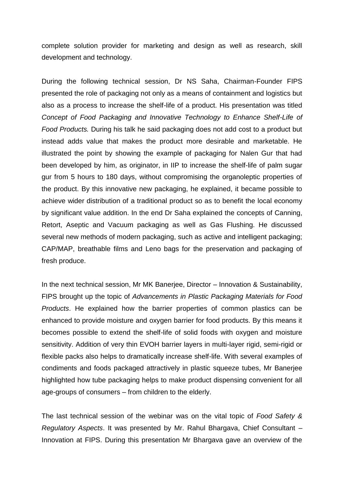complete solution provider for marketing and design as well as research, skill development and technology.

During the following technical session, Dr NS Saha, Chairman-Founder FIPS presented the role of packaging not only as a means of containment and logistics but also as a process to increase the shelf-life of a product. His presentation was titled *Concept of Food Packaging and Innovative Technology to Enhance Shelf-Life of Food Products.* During his talk he said packaging does not add cost to a product but instead adds value that makes the product more desirable and marketable. He illustrated the point by showing the example of packaging for Nalen Gur that had been developed by him, as originator, in IIP to increase the shelf-life of palm sugar gur from 5 hours to 180 days, without compromising the organoleptic properties of the product. By this innovative new packaging, he explained, it became possible to achieve wider distribution of a traditional product so as to benefit the local economy by significant value addition. In the end Dr Saha explained the concepts of Canning, Retort, Aseptic and Vacuum packaging as well as Gas Flushing. He discussed several new methods of modern packaging, such as active and intelligent packaging; CAP/MAP, breathable films and Leno bags for the preservation and packaging of fresh produce.

In the next technical session, Mr MK Banerjee, Director – Innovation & Sustainability, FIPS brought up the topic of *Advancements in Plastic Packaging Materials for Food Products*. He explained how the barrier properties of common plastics can be enhanced to provide moisture and oxygen barrier for food products. By this means it becomes possible to extend the shelf-life of solid foods with oxygen and moisture sensitivity. Addition of very thin EVOH barrier layers in multi-layer rigid, semi-rigid or flexible packs also helps to dramatically increase shelf-life. With several examples of condiments and foods packaged attractively in plastic squeeze tubes, Mr Banerjee highlighted how tube packaging helps to make product dispensing convenient for all age-groups of consumers – from children to the elderly.

The last technical session of the webinar was on the vital topic of *Food Safety & Regulatory Aspects*. It was presented by Mr. Rahul Bhargava, Chief Consultant – Innovation at FIPS. During this presentation Mr Bhargava gave an overview of the